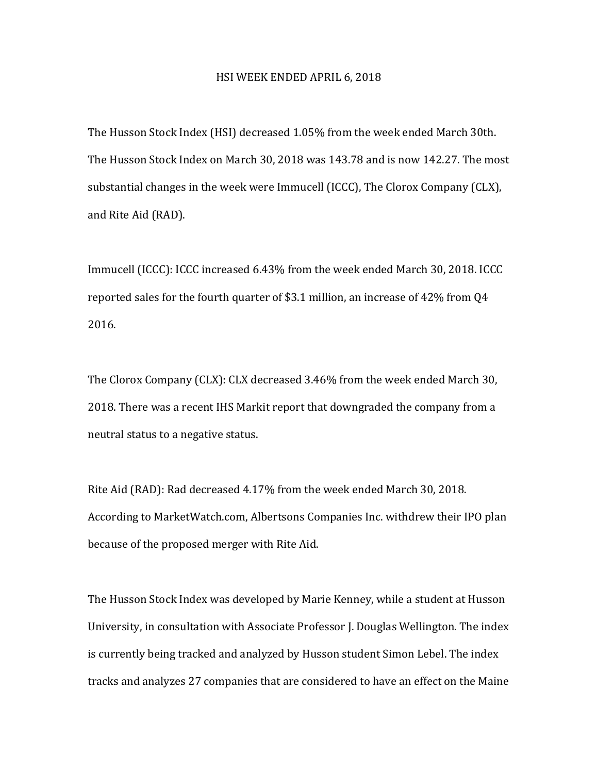## HSI WEEK ENDED APRIL 6, 2018

The Husson Stock Index (HSI) decreased 1.05% from the week ended March 30th. The Husson Stock Index on March 30, 2018 was 143.78 and is now 142.27. The most substantial changes in the week were Immucell (ICCC), The Clorox Company (CLX), and Rite Aid (RAD).

Immucell (ICCC): ICCC increased 6.43% from the week ended March 30, 2018. ICCC reported sales for the fourth quarter of \$3.1 million, an increase of  $42\%$  from Q4 2016. 

The Clorox Company (CLX): CLX decreased 3.46% from the week ended March 30, 2018. There was a recent IHS Markit report that downgraded the company from a neutral status to a negative status.

Rite Aid (RAD): Rad decreased 4.17% from the week ended March 30, 2018. According to MarketWatch.com, Albertsons Companies Inc. withdrew their IPO plan because of the proposed merger with Rite Aid.

The Husson Stock Index was developed by Marie Kenney, while a student at Husson University, in consultation with Associate Professor J. Douglas Wellington. The index is currently being tracked and analyzed by Husson student Simon Lebel. The index tracks and analyzes 27 companies that are considered to have an effect on the Maine